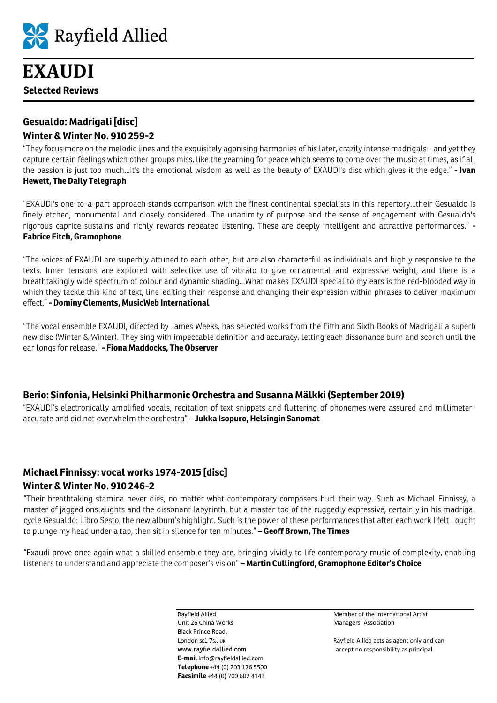

# **Gesualdo: Madrigali [disc] Winter & Winter No. 910 259-2**

"They focus more on the melodic lines and the exquisitely agonising harmonies of his later, crazily intense madrigals - and yet they capture certain feelings which other groups miss, like the yearning for peace which seems to come over the music at times, as if all the passion is just too much...it's the emotional wisdom as well as the beauty of EXAUDI's disc which gives it the edge." **- Ivan Hewett, The Daily Telegraph** 

"EXAUDI's one-to-a-part approach stands comparison with the finest continental specialists in this repertory...their Gesualdo is finely etched, monumental and closely considered...The unanimity of purpose and the sense of engagement with Gesualdo's rigorous caprice sustains and richly rewards repeated listening. These are deeply intelligent and attractive performances." **- Fabrice Fitch, Gramophone** 

"The voices of EXAUDI are superbly attuned to each other, but are also characterful as individuals and highly responsive to the texts. Inner tensions are explored with selective use of vibrato to give ornamental and expressive weight, and there is a breathtakingly wide spectrum of colour and dynamic shading...What makes EXAUDI special to my ears is the red-blooded way in which they tackle this kind of text, line-editing their response and changing their expression within phrases to deliver maximum effect." **- Dominy Clements, MusicWeb International** 

"The vocal ensemble EXAUDI, directed by James Weeks, has selected works from the Fifth and Sixth Books of Madrigali a superb new disc (Winter & Winter). They sing with impeccable definition and accuracy, letting each dissonance burn and scorch until the ear longs for release." **- Fiona Maddocks, The Observer** 

# **Berio: Sinfonia, Helsinki Philharmonic Orchestra and Susanna Mälkki (September 2019)**

"EXAUDI's electronically amplified vocals, recitation of text snippets and fluttering of phonemes were assured and millimeteraccurate and did not overwhelm the orchestra" **– Jukka Isopuro, Helsingin Sanomat**

# **Michael Finnissy: vocal works 1974-2015 [disc] Winter & Winter No. 910 246-2**

"Their breathtaking stamina never dies, no matter what contemporary composers hurl their way. Such as Michael Finnissy, a master of jagged onslaughts and the dissonant labyrinth, but a master too of the ruggedly expressive, certainly in his madrigal cycle Gesualdo: Libro Sesto, the new album's highlight. Such is the power of these performances that after each work I felt I ought to plunge my head under a tap, then sit in silence for ten minutes." **– Geoff Brown, The Times** 

"Exaudi prove once again what a skilled ensemble they are, bringing vividly to life contemporary music of complexity, enabling listeners to understand and appreciate the composer's vision" **– Martin Cullingford, Gramophone Editor's Choice**

> Unit 26 China Works **Managers' Association** Managers' Association Black Prince Road, **E-mail** info@rayfieldallied.com **Telephone** +44 (0) 203 176 5500 **Facsimile** +44 (0) 700 602 4143

Rayfield Allied Member of the International Artist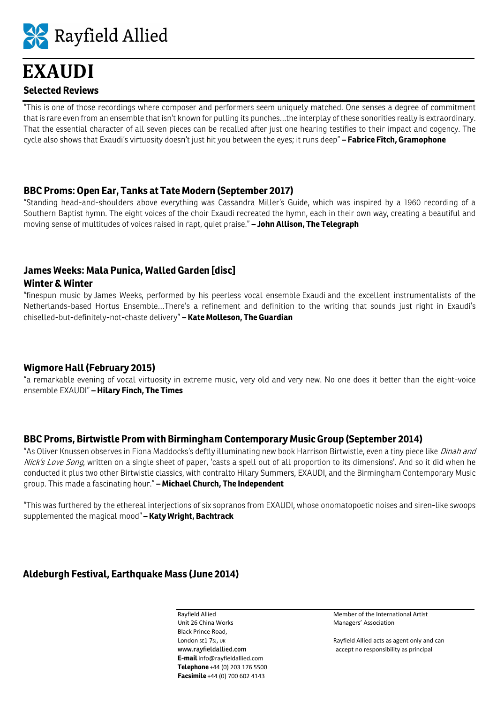

"This is one of those recordings where composer and performers seem uniquely matched. One senses a degree of commitment that is rare even from an ensemble that isn't known for pulling its punches…the interplay of these sonorities really is extraordinary. That the essential character of all seven pieces can be recalled after just one hearing testifies to their impact and cogency. The cycle also shows that Exaudi's virtuosity doesn't just hit you between the eyes; it runs deep" **– Fabrice Fitch, Gramophone**

#### **BBC Proms: Open Ear, Tanks at Tate Modern (September 2017)**

"Standing head-and-shoulders above everything was Cassandra Miller's Guide, which was inspired by a 1960 recording of a Southern Baptist hymn. The eight voices of the choir Exaudi recreated the hymn, each in their own way, creating a beautiful and moving sense of multitudes of voices raised in rapt, quiet praise." **– John Allison, The Telegraph**

# **James Weeks: Mala Punica, Walled Garden [disc]**

#### **Winter & Winter**

"finespun music by James Weeks, performed by his peerless vocal ensemble Exaudi and the excellent instrumentalists of the Netherlands-based Hortus Ensemble…There's a refinement and definition to the writing that sounds just right in Exaudi's chiselled-but-definitely-not-chaste delivery" **– Kate Molleson, The Guardian** 

#### **Wigmore Hall (February 2015)**

"a remarkable evening of vocal virtuosity in extreme music, very old and very new. No one does it better than the eight-voice ensemble EXAUDI" **– Hilary Finch, The Times** 

#### **BBC Proms, Birtwistle Prom with Birmingham Contemporary Music Group (September 2014)**

"As Oliver Knussen observes in Fiona Maddocks's deftly illuminating new book Harrison Birtwistle, even a tiny piece like *Dinah and* Nick's Love Song, written on a single sheet of paper, 'casts a spell out of all proportion to its dimensions'. And so it did when he conducted it plus two other Birtwistle classics, with contralto Hilary Summers, EXAUDI, and the Birmingham Contemporary Music group. This made a fascinating hour." **– Michael Church, The Independent** 

"This was furthered by the ethereal interjections of six sopranos from EXAUDI, whose onomatopoetic noises and siren-like swoops supplemented the magical mood" **– Katy Wright, Bachtrack** 

# **Aldeburgh Festival, Earthquake Mass (June 2014)**

Unit 26 China Works **Managers'** Association Black Prince Road, **E-mail** info@rayfieldallied.com **Telephone** +44 (0) 203 176 5500 **Facsimile** +44 (0) 700 602 4143

Rayfield Allied Member of the International Artist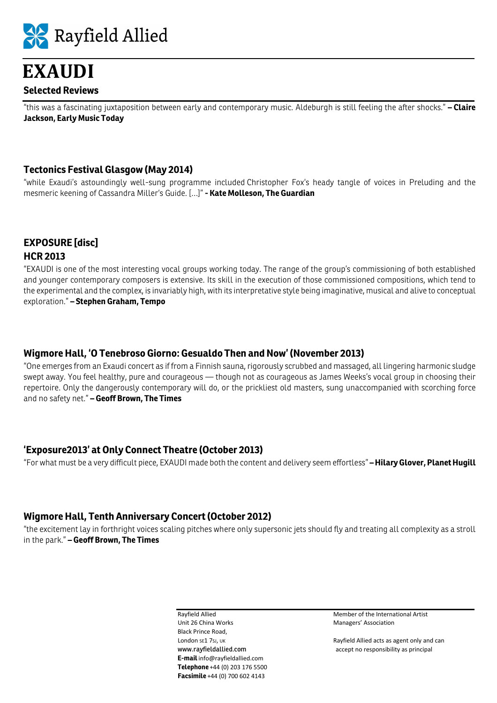

"this was a fascinating juxtaposition between early and contemporary music. Aldeburgh is still feeling the after shocks." **– Claire Jackson, Early Music Today**

#### **Tectonics Festival Glasgow (May 2014)**

"while Exaudi's astoundingly well-sung programme included Christopher Fox's heady tangle of voices in Preluding and the mesmeric keening of Cassandra Miller's Guide. […]" **- Kate Molleson, The Guardian** 

# **EXPOSURE [disc] HCR 2013**

"EXAUDI is one of the most interesting vocal groups working today. The range of the group's commissioning of both established and younger contemporary composers is extensive. Its skill in the execution of those commissioned compositions, which tend to the experimental and the complex, is invariably high, with its interpretative style being imaginative, musical and alive to conceptual exploration." **– Stephen Graham, Tempo** 

#### **Wigmore Hall, 'O Tenebroso Giorno: Gesualdo Then and Now' (November 2013)**

"One emerges from an Exaudi concert as if from a Finnish sauna, rigorously scrubbed and massaged, all lingering harmonic sludge swept away. You feel healthy, pure and courageous — though not as courageous as James Weeks's vocal group in choosing their repertoire. Only the dangerously contemporary will do, or the prickliest old masters, sung unaccompanied with scorching force and no safety net." **– Geoff Brown, The Times** 

#### **'Exposure2013' at Only Connect Theatre (October 2013)**

"For what must be a very difficult piece, EXAUDI made both the content and delivery seem effortless" **– Hilary Glover, Planet Hugill**

#### **Wigmore Hall, Tenth Anniversary Concert (October 2012)**

"the excitement lay in forthright voices scaling pitches where only supersonic jets should fly and treating all complexity as a stroll in the park." **– Geoff Brown, The Times**

> Unit 26 China Works **Managers'** Association Black Prince Road, **E-mail** info@rayfieldallied.com **Telephone** +44 (0) 203 176 5500 **Facsimile** +44 (0) 700 602 4143

Rayfield Allied Member of the International Artist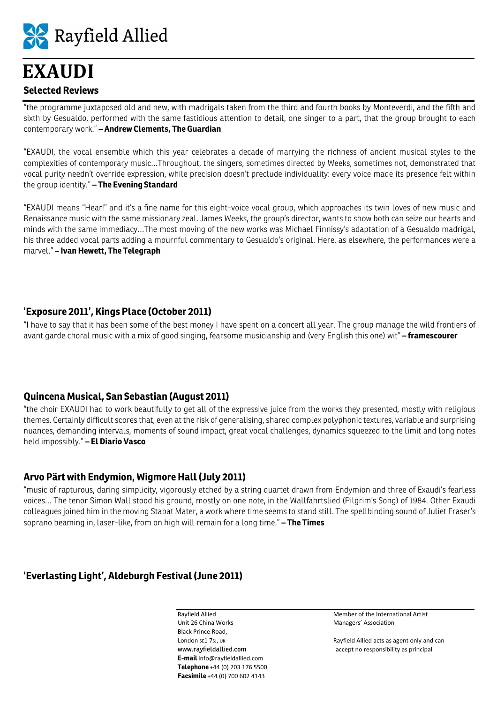

"the programme juxtaposed old and new, with madrigals taken from the third and fourth books by Monteverdi, and the fifth and sixth by Gesualdo, performed with the same fastidious attention to detail, one singer to a part, that the group brought to each contemporary work." **– Andrew Clements, The Guardian**

"EXAUDI, the vocal ensemble which this year celebrates a decade of marrying the richness of ancient musical styles to the complexities of contemporary music…Throughout, the singers, sometimes directed by Weeks, sometimes not, demonstrated that vocal purity needn't override expression, while precision doesn't preclude individuality: every voice made its presence felt within the group identity." **– The Evening Standard**

"EXAUDI means "Hear!" and it's a fine name for this eight-voice vocal group, which approaches its twin loves of new music and Renaissance music with the same missionary zeal. James Weeks, the group's director, wants to show both can seize our hearts and minds with the same immediacy…The most moving of the new works was Michael Finnissy's adaptation of a Gesualdo madrigal, his three added vocal parts adding a mournful commentary to Gesualdo's original. Here, as elsewhere, the performances were a marvel." **– Ivan Hewett, The Telegraph** 

# **'Exposure 2011', Kings Place (October 2011)**

"I have to say that it has been some of the best money I have spent on a concert all year. The group manage the wild frontiers of avant garde choral music with a mix of good singing, fearsome musicianship and (very English this one) wit" **– framescourer** 

#### **Quincena Musical, San Sebastian (August 2011)**

"the choir EXAUDI had to work beautifully to get all of the expressive juice from the works they presented, mostly with religious themes. Certainly difficult scores that, even at the risk of generalising, shared complex polyphonic textures, variable and surprising nuances, demanding intervals, moments of sound impact, great vocal challenges, dynamics squeezed to the limit and long notes held impossibly." **– El Diario Vasco** 

#### **Arvo Pärt with Endymion, Wigmore Hall (July 2011)**

"music of rapturous, daring simplicity, vigorously etched by a string quartet drawn from Endymion and three of Exaudi's fearless voices… The tenor Simon Wall stood his ground, mostly on one note, in the Wallfahrtslied (Pilgrim's Song) of 1984. Other Exaudi colleagues joined him in the moving Stabat Mater, a work where time seems to stand still. The spellbinding sound of Juliet Fraser's soprano beaming in, laser-like, from on high will remain for a long time." **– The Times** 

# **'Everlasting Light', Aldeburgh Festival (June 2011)**

Unit 26 China Works **Managers'** Association Black Prince Road, **E-mail** info@rayfieldallied.com **Telephone** +44 (0) 203 176 5500 **Facsimile** +44 (0) 700 602 4143

Rayfield Allied **Member of the International Artist**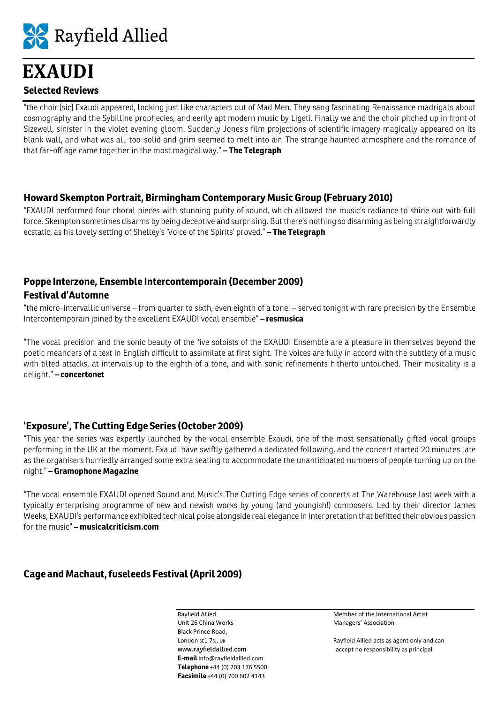

"the choir [sic] Exaudi appeared, looking just like characters out of Mad Men. They sang fascinating Renaissance madrigals about cosmography and the Sybilline prophecies, and eerily apt modern music by Ligeti. Finally we and the choir pitched up in front of Sizewell, sinister in the violet evening gloom. Suddenly Jones's film projections of scientific imagery magically appeared on its blank wall, and what was all-too-solid and grim seemed to melt into air. The strange haunted atmosphere and the romance of that far-off age came together in the most magical way." **– The Telegraph** 

#### **Howard Skempton Portrait, Birmingham Contemporary Music Group (February 2010)**

"EXAUDI performed four choral pieces with stunning purity of sound, which allowed the music's radiance to shine out with full force. Skempton sometimes disarms by being deceptive and surprising. But there's nothing so disarming as being straightforwardly ecstatic, as his lovely setting of Shelley's 'Voice of the Spirits' proved." **– The Telegraph** 

# **Poppe Interzone, Ensemble Intercontemporain (December 2009) Festival d'Automne**

"the micro-intervallic universe – from quarter to sixth, even eighth of a tone! – served tonight with rare precision by the Ensemble Intercontemporain joined by the excellent EXAUDI vocal ensemble" **– resmusica** 

"The vocal precision and the sonic beauty of the five soloists of the EXAUDI Ensemble are a pleasure in themselves beyond the poetic meanders of a text in English difficult to assimilate at first sight. The voices are fully in accord with the subtlety of a music with tilted attacks, at intervals up to the eighth of a tone, and with sonic refinements hitherto untouched. Their musicality is a delight." **– concertonet** 

# **'Exposure', The Cutting Edge Series (October 2009)**

"This year the series was expertly launched by the vocal ensemble Exaudi, one of the most sensationally gifted vocal groups performing in the UK at the moment. Exaudi have swiftly gathered a dedicated following, and the concert started 20 minutes late as the organisers hurriedly arranged some extra seating to accommodate the unanticipated numbers of people turning up on the night." **– Gramophone Magazine** 

"The vocal ensemble EXAUDI opened Sound and Music's The Cutting Edge series of concerts at The Warehouse last week with a typically enterprising programme of new and newish works by young (and youngish!) composers. Led by their director James Weeks, EXAUDI's performance exhibited technical poise alongside real elegance in interpretation that befitted their obvious passion for the music" **– musicalcriticism.com**

# **Cage and Machaut, fuseleeds Festival (April 2009)**

Unit 26 China Works **Managers'** Association Black Prince Road, **E-mail** info@rayfieldallied.com **Telephone** +44 (0) 203 176 5500 **Facsimile** +44 (0) 700 602 4143

Rayfield Allied Member of the International Artist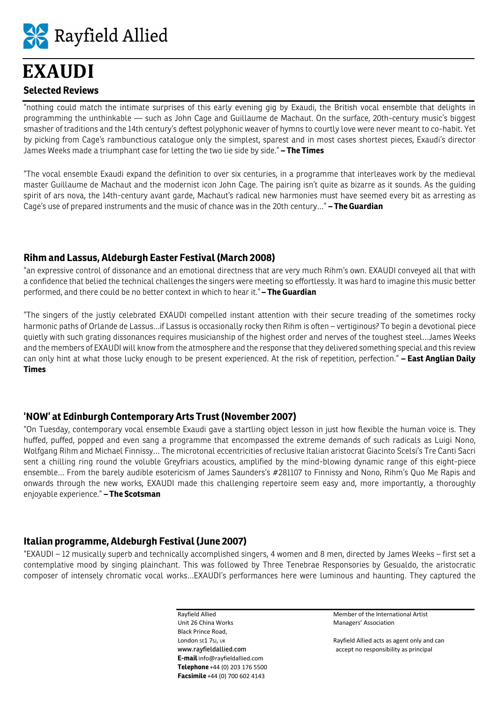

"nothing could match the intimate surprises of this early evening gig by Exaudi, the British vocal ensemble that delights in programming the unthinkable — such as John Cage and Guillaume de Machaut. On the surface, 20th-century music's biggest smasher of traditions and the 14th century's deftest polyphonic weaver of hymns to courtly love were never meant to co-habit. Yet by picking from Cage's rambunctious catalogue only the simplest, sparest and in most cases shortest pieces, Exaudi's director James Weeks made a triumphant case for letting the two lie side by side." **– The Times** 

"The vocal ensemble Exaudi expand the definition to over six centuries, in a programme that interleaves work by the medieval master Guillaume de Machaut and the modernist icon John Cage. The pairing isn't quite as bizarre as it sounds. As the guiding spirit of ars nova, the 14th-century avant garde, Machaut's radical new harmonies must have seemed every bit as arresting as Cage's use of prepared instruments and the music of chance was in the 20th century…" **– The Guardian** 

#### **Rihm and Lassus, Aldeburgh Easter Festival (March 2008)**

"an expressive control of dissonance and an emotional directness that are very much Rihm's own. EXAUDI conveyed all that with a confidence that belied the technical challenges the singers were meeting so effortlessly. It was hard to imagine this music better performed, and there could be no better context in which to hear it." **– The Guardian** 

"The singers of the justly celebrated EXAUDI compelled instant attention with their secure treading of the sometimes rocky harmonic paths of Orlande de Lassus…if Lassus is occasionally rocky then Rihm is often – vertiginous? To begin a devotional piece quietly with such grating dissonances requires musicianship of the highest order and nerves of the toughest steel…James Weeks and the members of EXAUDI will know from the atmosphere and the response that they delivered something special and this review can only hint at what those lucky enough to be present experienced. At the risk of repetition, perfection." **– East Anglian Daily Times** 

# **'NOW' at Edinburgh Contemporary Arts Trust (November 2007)**

"On Tuesday, contemporary vocal ensemble Exaudi gave a startling object lesson in just how flexible the human voice is. They huffed, puffed, popped and even sang a programme that encompassed the extreme demands of such radicals as Luigi Nono, Wolfgang Rihm and Michael Finnissy… The microtonal eccentricities of reclusive Italian aristocrat Giacinto Scelsi's Tre Canti Sacri sent a chilling ring round the voluble Greyfriars acoustics, amplified by the mind-blowing dynamic range of this eight-piece ensemble… From the barely audible esotericism of James Saunders's #281107 to Finnissy and Nono, Rihm's Quo Me Rapis and onwards through the new works, EXAUDI made this challenging repertoire seem easy and, more importantly, a thoroughly enjoyable experience." **– The Scotsman** 

# **Italian programme, Aldeburgh Festival (June 2007)**

"EXAUDI – 12 musically superb and technically accomplished singers, 4 women and 8 men, directed by James Weeks – first set a contemplative mood by singing plainchant. This was followed by Three Tenebrae Responsories by Gesualdo, the aristocratic composer of intensely chromatic vocal works…EXAUDI's performances here were luminous and haunting. They captured the

> Unit 26 China Works **Managers'** Association Black Prince Road, **E-mail** info@rayfieldallied.com **Telephone** +44 (0) 203 176 5500 **Facsimile** +44 (0) 700 602 4143

Rayfield Allied Member of the International Artist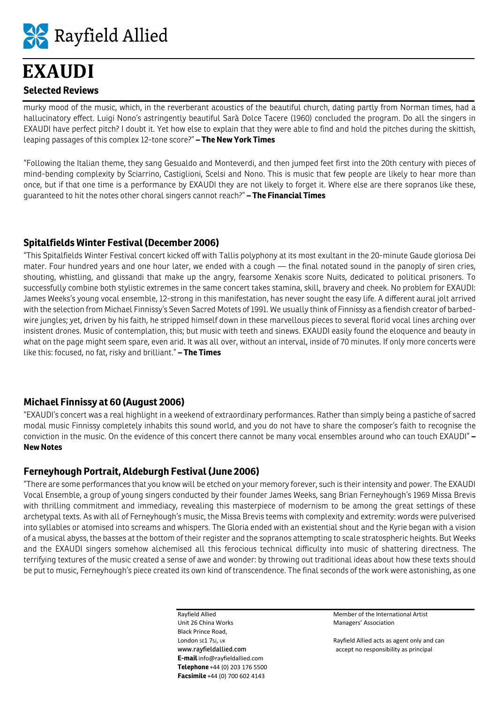

murky mood of the music, which, in the reverberant acoustics of the beautiful church, dating partly from Norman times, had a hallucinatory effect. Luigi Nono's astringently beautiful Sarà Dolce Tacere (1960) concluded the program. Do all the singers in EXAUDI have perfect pitch? I doubt it. Yet how else to explain that they were able to find and hold the pitches during the skittish, leaping passages of this complex 12-tone score?" **– The New York Times** 

"Following the Italian theme, they sang Gesualdo and Monteverdi, and then jumped feet first into the 20th century with pieces of mind-bending complexity by Sciarrino, Castiglioni, Scelsi and Nono. This is music that few people are likely to hear more than once, but if that one time is a performance by EXAUDI they are not likely to forget it. Where else are there sopranos like these, guaranteed to hit the notes other choral singers cannot reach?" **– The Financial Times** 

# **Spitalfields Winter Festival (December 2006)**

"This Spitalfields Winter Festival concert kicked off with Tallis polyphony at its most exultant in the 20-minute Gaude gloriosa Dei mater. Four hundred years and one hour later, we ended with a cough — the final notated sound in the panoply of siren cries, shouting, whistling, and glissandi that make up the angry, fearsome Xenakis score Nuits, dedicated to political prisoners. To successfully combine both stylistic extremes in the same concert takes stamina, skill, bravery and cheek. No problem for EXAUDI: James Weeks's young vocal ensemble, 12-strong in this manifestation, has never sought the easy life. A different aural jolt arrived with the selection from Michael Finnissy's Seven Sacred Motets of 1991. We usually think of Finnissy as a fiendish creator of barbedwire jungles; yet, driven by his faith, he stripped himself down in these marvellous pieces to several florid vocal lines arching over insistent drones. Music of contemplation, this; but music with teeth and sinews. EXAUDI easily found the eloquence and beauty in what on the page might seem spare, even arid. It was all over, without an interval, inside of 70 minutes. If only more concerts were like this: focused, no fat, risky and brilliant." **– The Times**

# **Michael Finnissy at 60 (August 2006)**

"EXAUDI's concert was a real highlight in a weekend of extraordinary performances. Rather than simply being a pastiche of sacred modal music Finnissy completely inhabits this sound world, and you do not have to share the composer's faith to recognise the conviction in the music. On the evidence of this concert there cannot be many vocal ensembles around who can touch EXAUDI" **– New Notes** 

# **Ferneyhough Portrait, Aldeburgh Festival (June 2006)**

"There are some performances that you know will be etched on your memory forever, such is their intensity and power. The EXAUDI Vocal Ensemble, a group of young singers conducted by their founder James Weeks, sang Brian Ferneyhough's 1969 Missa Brevis with thrilling commitment and immediacy, revealing this masterpiece of modernism to be among the great settings of these archetypal texts. As with all of Ferneyhough's music, the Missa Brevis teems with complexity and extremity: words were pulverised into syllables or atomised into screams and whispers. The Gloria ended with an existential shout and the Kyrie began with a vision of a musical abyss, the basses at the bottom of their register and the sopranos attempting to scale stratospheric heights. But Weeks and the EXAUDI singers somehow alchemised all this ferocious technical difficulty into music of shattering directness. The terrifying textures of the music created a sense of awe and wonder: by throwing out traditional ideas about how these texts should be put to music, Ferneyhough's piece created its own kind of transcendence. The final seconds of the work were astonishing, as one

> Unit 26 China Works **Managers' Association** Managers' Association Black Prince Road, **E-mail** info@rayfieldallied.com **Telephone** +44 (0) 203 176 5500 **Facsimile** +44 (0) 700 602 4143

Rayfield Allied **Member of the International Artist**